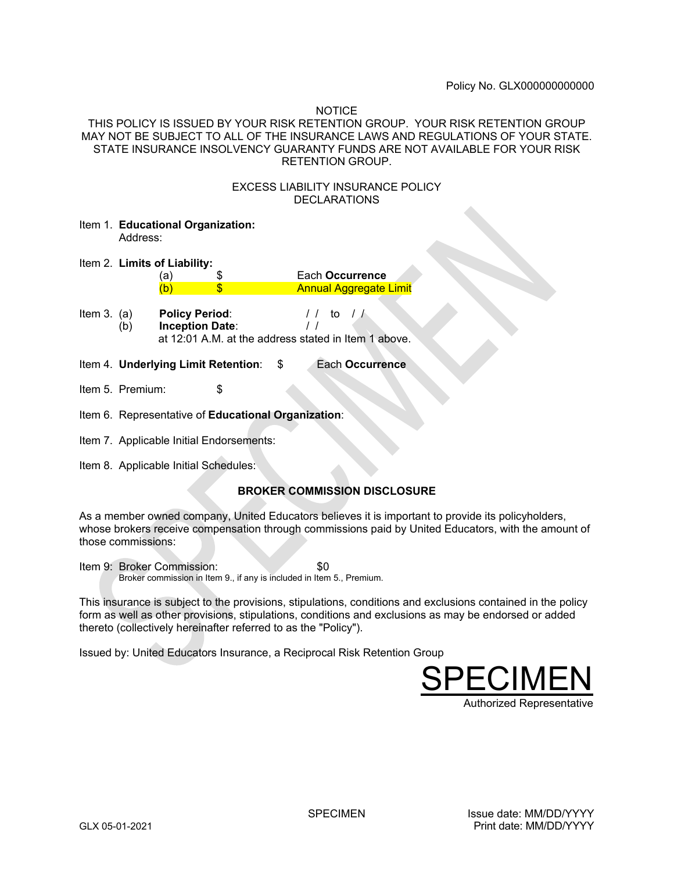### **NOTICE**

THIS POLICY IS ISSUED BY YOUR RISK RETENTION GROUP. YOUR RISK RETENTION GROUP MAY NOT BE SUBJECT TO ALL OF THE INSURANCE LAWS AND REGULATIONS OF YOUR STATE. STATE INSURANCE INSOLVENCY GUARANTY FUNDS ARE NOT AVAILABLE FOR YOUR RISK RETENTION GROUP.

### EXCESS LIABILITY INSURANCE POLICY **DECLARATIONS**

- Item 1. **Educational Organization:**  Address:
- Item 2. **Limits of Liability:** 
	- (a) \$ Each **Occurrence** (b) \$ Annual Aggregate Limit
- **Item 3. (a) Policy Period:** // to // (b) **Inception Date**: / / at 12:01 A.M. at the address stated in Item 1 above.
- Item 4. **Underlying Limit Retention**: \$ Each **Occurrence**
- Item 5. Premium: \$
- Item 6. Representative of **Educational Organization**:
- Item 7. Applicable Initial Endorsements:
- Item 8. Applicable Initial Schedules:

# **BROKER COMMISSION DISCLOSURE**

As a member owned company, United Educators believes it is important to provide its policyholders, whose brokers receive compensation through commissions paid by United Educators, with the amount of those commissions:

Item 9: Broker Commission:  $\sim$  \$0 Broker commission in Item 9., if any is included in Item 5., Premium.

This insurance is subject to the provisions, stipulations, conditions and exclusions contained in the policy form as well as other provisions, stipulations, conditions and exclusions as may be endorsed or added thereto (collectively hereinafter referred to as the "Policy").

Issued by: United Educators Insurance, a Reciprocal Risk Retention Group

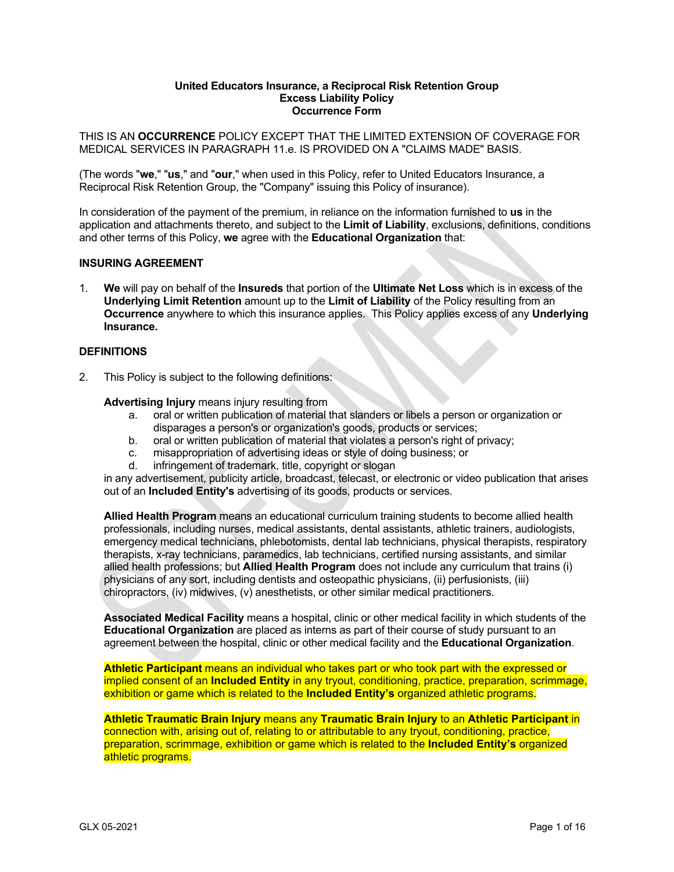#### **United Educators Insurance, a Reciprocal Risk Retention Group Excess Liability Policy Occurrence Form**

THIS IS AN **OCCURRENCE** POLICY EXCEPT THAT THE LIMITED EXTENSION OF COVERAGE FOR MEDICAL SERVICES IN PARAGRAPH 11.e. IS PROVIDED ON A "CLAIMS MADE" BASIS.

(The words "**we**," "**us**," and "**our**," when used in this Policy, refer to United Educators Insurance, a Reciprocal Risk Retention Group, the "Company" issuing this Policy of insurance).

In consideration of the payment of the premium, in reliance on the information furnished to **us** in the application and attachments thereto, and subject to the **Limit of Liability**, exclusions, definitions, conditions and other terms of this Policy, **we** agree with the **Educational Organization** that:

## **INSURING AGREEMENT**

1. **We** will pay on behalf of the **Insureds** that portion of the **Ultimate Net Loss** which is in excess of the **Underlying Limit Retention** amount up to the **Limit of Liability** of the Policy resulting from an **Occurrence** anywhere to which this insurance applies. This Policy applies excess of any **Underlying Insurance.**

#### **DEFINITIONS**

2. This Policy is subject to the following definitions:

#### **Advertising Injury** means injury resulting from

- a. oral or written publication of material that slanders or libels a person or organization or disparages a person's or organization's goods, products or services;
- b. oral or written publication of material that violates a person's right of privacy;
- c. misappropriation of advertising ideas or style of doing business; or
- d. infringement of trademark, title, copyright or slogan

in any advertisement, publicity article, broadcast, telecast, or electronic or video publication that arises out of an **Included Entity's** advertising of its goods, products or services.

**Allied Health Program** means an educational curriculum training students to become allied health professionals, including nurses, medical assistants, dental assistants, athletic trainers, audiologists, emergency medical technicians, phlebotomists, dental lab technicians, physical therapists, respiratory therapists, x-ray technicians, paramedics, lab technicians, certified nursing assistants, and similar allied health professions; but **Allied Health Program** does not include any curriculum that trains (i) physicians of any sort, including dentists and osteopathic physicians, (ii) perfusionists, (iii) chiropractors, (iv) midwives, (v) anesthetists, or other similar medical practitioners.

**Associated Medical Facility** means a hospital, clinic or other medical facility in which students of the **Educational Organization** are placed as interns as part of their course of study pursuant to an agreement between the hospital, clinic or other medical facility and the **Educational Organization**.

**Athletic Participant** means an individual who takes part or who took part with the expressed or implied consent of an **Included Entity** in any tryout, conditioning, practice, preparation, scrimmage, exhibition or game which is related to the **Included Entity's** organized athletic programs.

**Athletic Traumatic Brain Injury** means any **Traumatic Brain Injury** to an **Athletic Participant** in connection with, arising out of, relating to or attributable to any tryout, conditioning, practice, preparation, scrimmage, exhibition or game which is related to the **Included Entity's** organized athletic programs.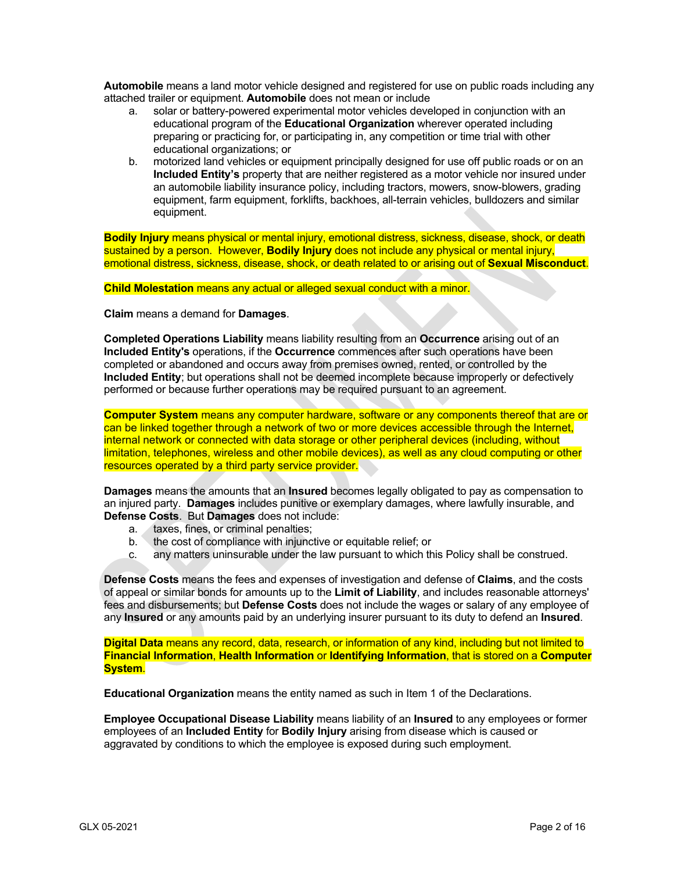**Automobile** means a land motor vehicle designed and registered for use on public roads including any attached trailer or equipment. **Automobile** does not mean or include

- a. solar or battery-powered experimental motor vehicles developed in conjunction with an educational program of the **Educational Organization** wherever operated including preparing or practicing for, or participating in, any competition or time trial with other educational organizations; or
- b. motorized land vehicles or equipment principally designed for use off public roads or on an **Included Entity's** property that are neither registered as a motor vehicle nor insured under an automobile liability insurance policy, including tractors, mowers, snow-blowers, grading equipment, farm equipment, forklifts, backhoes, all-terrain vehicles, bulldozers and similar equipment.

**Bodily Injury** means physical or mental injury, emotional distress, sickness, disease, shock, or death sustained by a person. However, **Bodily Injury** does not include any physical or mental injury, emotional distress, sickness, disease, shock, or death related to or arising out of **Sexual Misconduct**.

**Child Molestation** means any actual or alleged sexual conduct with a minor.

**Claim** means a demand for **Damages**.

**Completed Operations Liability** means liability resulting from an **Occurrence** arising out of an **Included Entity's** operations, if the **Occurrence** commences after such operations have been completed or abandoned and occurs away from premises owned, rented, or controlled by the **Included Entity**; but operations shall not be deemed incomplete because improperly or defectively performed or because further operations may be required pursuant to an agreement.

**Computer System** means any computer hardware, software or any components thereof that are or can be linked together through a network of two or more devices accessible through the Internet, internal network or connected with data storage or other peripheral devices (including, without limitation, telephones, wireless and other mobile devices), as well as any cloud computing or other resources operated by a third party service provider.

**Damages** means the amounts that an **Insured** becomes legally obligated to pay as compensation to an injured party. **Damages** includes punitive or exemplary damages, where lawfully insurable, and **Defense Costs**. But **Damages** does not include:

- a. taxes, fines, or criminal penalties;
- b. the cost of compliance with injunctive or equitable relief; or
- c. any matters uninsurable under the law pursuant to which this Policy shall be construed.

**Defense Costs** means the fees and expenses of investigation and defense of **Claims**, and the costs of appeal or similar bonds for amounts up to the **Limit of Liability**, and includes reasonable attorneys' fees and disbursements; but **Defense Costs** does not include the wages or salary of any employee of any **Insured** or any amounts paid by an underlying insurer pursuant to its duty to defend an **Insured**.

**Digital Data** means any record, data, research, or information of any kind, including but not limited to **Financial Information**, **Health Information** or **Identifying Information**, that is stored on a **Computer System**.

**Educational Organization** means the entity named as such in Item 1 of the Declarations.

**Employee Occupational Disease Liability** means liability of an **Insured** to any employees or former employees of an **Included Entity** for **Bodily Injury** arising from disease which is caused or aggravated by conditions to which the employee is exposed during such employment.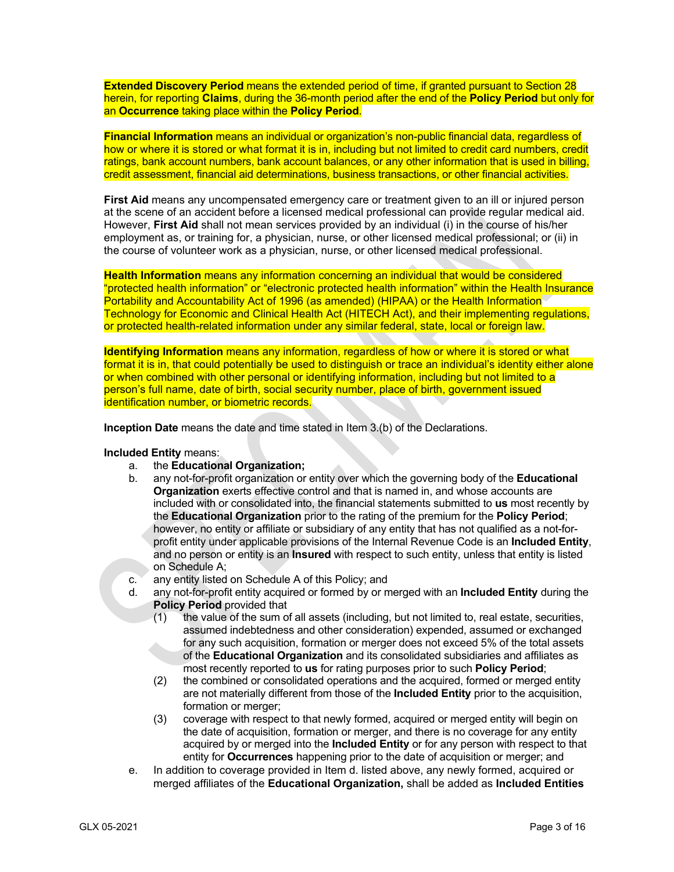**Extended Discovery Period** means the extended period of time, if granted pursuant to Section 28 herein, for reporting **Claims**, during the 36-month period after the end of the **Policy Period** but only for an **Occurrence** taking place within the **Policy Period**.

**Financial Information** means an individual or organization's non-public financial data, regardless of how or where it is stored or what format it is in, including but not limited to credit card numbers, credit ratings, bank account numbers, bank account balances, or any other information that is used in billing, credit assessment, financial aid determinations, business transactions, or other financial activities.

**First Aid** means any uncompensated emergency care or treatment given to an ill or injured person at the scene of an accident before a licensed medical professional can provide regular medical aid. However, **First Aid** shall not mean services provided by an individual (i) in the course of his/her employment as, or training for, a physician, nurse, or other licensed medical professional; or (ii) in the course of volunteer work as a physician, nurse, or other licensed medical professional.

**Health Information** means any information concerning an individual that would be considered "protected health information" or "electronic protected health information" within the Health Insurance Portability and Accountability Act of 1996 (as amended) (HIPAA) or the Health Information Technology for Economic and Clinical Health Act (HITECH Act), and their implementing regulations, or protected health-related information under any similar federal, state, local or foreign law.

**Identifying Information** means any information, regardless of how or where it is stored or what format it is in, that could potentially be used to distinguish or trace an individual's identity either alone or when combined with other personal or identifying information, including but not limited to a person's full name, date of birth, social security number, place of birth, government issued identification number, or biometric records.

**Inception Date** means the date and time stated in Item 3.(b) of the Declarations.

**Included Entity** means:

- a. the **Educational Organization;**
- b. any not-for-profit organization or entity over which the governing body of the **Educational Organization** exerts effective control and that is named in, and whose accounts are included with or consolidated into, the financial statements submitted to **us** most recently by the **Educational Organization** prior to the rating of the premium for the **Policy Period**; however, no entity or affiliate or subsidiary of any entity that has not qualified as a not-forprofit entity under applicable provisions of the Internal Revenue Code is an **Included Entity**, and no person or entity is an **Insured** with respect to such entity, unless that entity is listed on Schedule A;
- c. any entity listed on Schedule A of this Policy; and
- d. any not-for-profit entity acquired or formed by or merged with an **Included Entity** during the **Policy Period** provided that
	- (1) the value of the sum of all assets (including, but not limited to, real estate, securities, assumed indebtedness and other consideration) expended, assumed or exchanged for any such acquisition, formation or merger does not exceed 5% of the total assets of the **Educational Organization** and its consolidated subsidiaries and affiliates as most recently reported to **us** for rating purposes prior to such **Policy Period**;
	- (2) the combined or consolidated operations and the acquired, formed or merged entity are not materially different from those of the **Included Entity** prior to the acquisition, formation or merger:
	- (3) coverage with respect to that newly formed, acquired or merged entity will begin on the date of acquisition, formation or merger, and there is no coverage for any entity acquired by or merged into the **Included Entity** or for any person with respect to that entity for **Occurrences** happening prior to the date of acquisition or merger; and
- e. In addition to coverage provided in Item d. listed above, any newly formed, acquired or merged affiliates of the **Educational Organization,** shall be added as **Included Entities**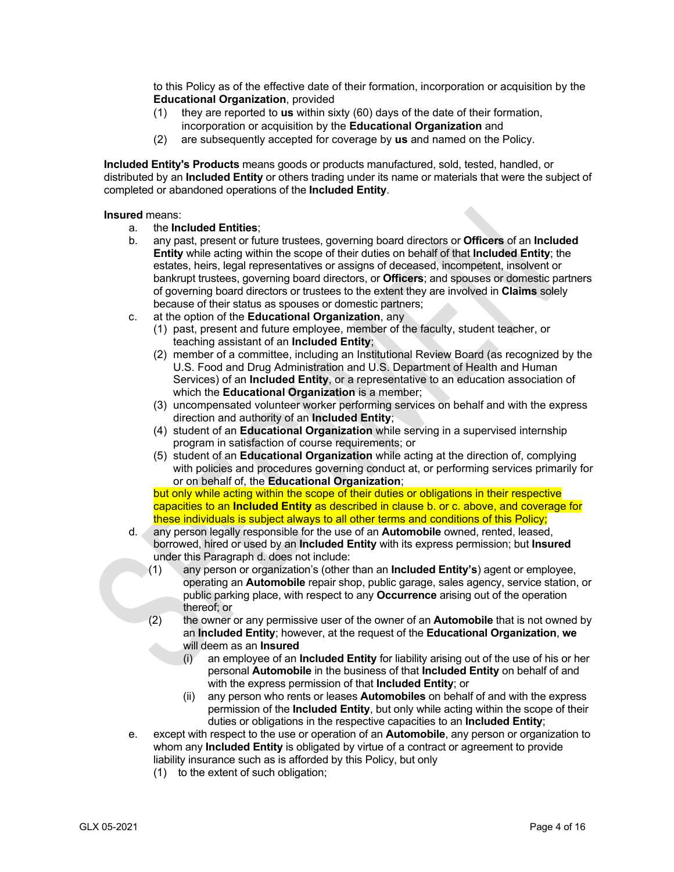to this Policy as of the effective date of their formation, incorporation or acquisition by the **Educational Organization**, provided

- (1) they are reported to **us** within sixty (60) days of the date of their formation, incorporation or acquisition by the **Educational Organization** and
- (2) are subsequently accepted for coverage by **us** and named on the Policy.

**Included Entity's Products** means goods or products manufactured, sold, tested, handled, or distributed by an **Included Entity** or others trading under its name or materials that were the subject of completed or abandoned operations of the **Included Entity**.

#### **Insured** means:

- a. the **Included Entities**;
- b. any past, present or future trustees, governing board directors or **Officers** of an **Included Entity** while acting within the scope of their duties on behalf of that **Included Entity**; the estates, heirs, legal representatives or assigns of deceased, incompetent, insolvent or bankrupt trustees, governing board directors, or **Officers**; and spouses or domestic partners of governing board directors or trustees to the extent they are involved in **Claims** solely because of their status as spouses or domestic partners;
- c. at the option of the **Educational Organization**, any
	- (1) past, present and future employee, member of the faculty, student teacher, or teaching assistant of an **Included Entity**;
	- (2) member of a committee, including an Institutional Review Board (as recognized by the U.S. Food and Drug Administration and U.S. Department of Health and Human Services) of an **Included Entity**, or a representative to an education association of which the **Educational Organization** is a member;
	- (3) uncompensated volunteer worker performing services on behalf and with the express direction and authority of an **Included Entity**;
	- (4) student of an **Educational Organization** while serving in a supervised internship program in satisfaction of course requirements; or
	- (5) student of an **Educational Organization** while acting at the direction of, complying with policies and procedures governing conduct at, or performing services primarily for or on behalf of, the **Educational Organization**;

but only while acting within the scope of their duties or obligations in their respective capacities to an **Included Entity** as described in clause b. or c. above, and coverage for these individuals is subject always to all other terms and conditions of this Policy;

- d. any person legally responsible for the use of an **Automobile** owned, rented, leased, borrowed, hired or used by an **Included Entity** with its express permission; but **Insured** under this Paragraph d. does not include:
	- (1) any person or organization's (other than an **Included Entity's**) agent or employee, operating an **Automobile** repair shop, public garage, sales agency, service station, or public parking place, with respect to any **Occurrence** arising out of the operation thereof; or
	- (2) the owner or any permissive user of the owner of an **Automobile** that is not owned by an **Included Entity**; however, at the request of the **Educational Organization**, **we** will deem as an **Insured**
		- (i) an employee of an **Included Entity** for liability arising out of the use of his or her personal **Automobile** in the business of that **Included Entity** on behalf of and with the express permission of that **Included Entity**; or
		- (ii) any person who rents or leases **Automobiles** on behalf of and with the express permission of the **Included Entity**, but only while acting within the scope of their duties or obligations in the respective capacities to an **Included Entity**;
- e. except with respect to the use or operation of an **Automobile**, any person or organization to whom any **Included Entity** is obligated by virtue of a contract or agreement to provide liability insurance such as is afforded by this Policy, but only
	- (1) to the extent of such obligation;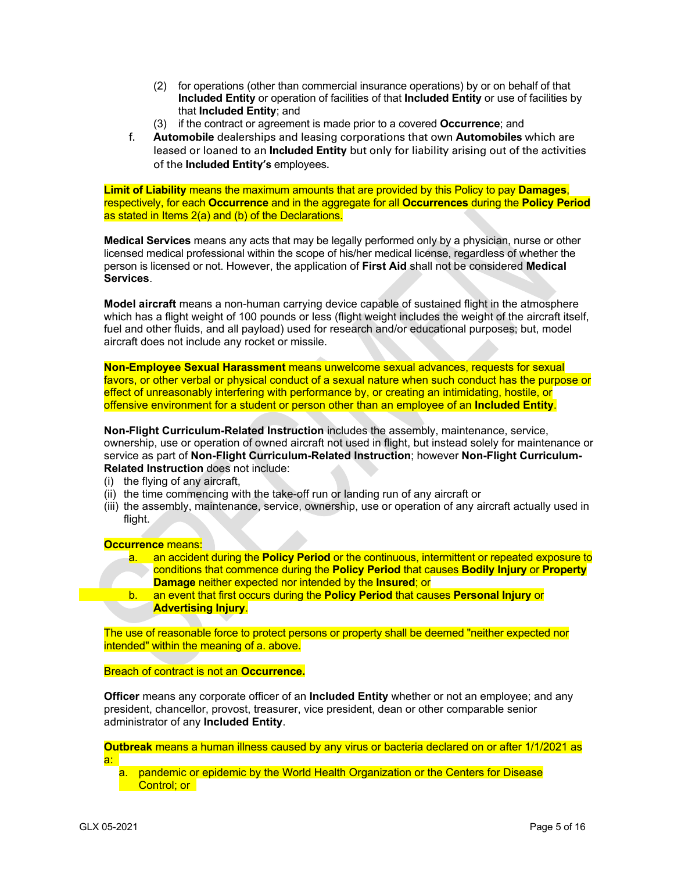- (2) for operations (other than commercial insurance operations) by or on behalf of that **Included Entity** or operation of facilities of that **Included Entity** or use of facilities by that **Included Entity**; and
- (3) if the contract or agreement is made prior to a covered **Occurrence**; and
- f. **Automobile** dealerships and leasing corporations that own **Automobiles** which are leased or loaned to an **Included Entity** but only for liability arising out of the activities of the **Included Entity's** employees.

**Limit of Liability** means the maximum amounts that are provided by this Policy to pay **Damages**, respectively, for each **Occurrence** and in the aggregate for all **Occurrences** during the **Policy Period** as stated in Items 2(a) and (b) of the Declarations.

**Medical Services** means any acts that may be legally performed only by a physician, nurse or other licensed medical professional within the scope of his/her medical license, regardless of whether the person is licensed or not. However, the application of **First Aid** shall not be considered **Medical Services**.

**Model aircraft** means a non-human carrying device capable of sustained flight in the atmosphere which has a flight weight of 100 pounds or less (flight weight includes the weight of the aircraft itself, fuel and other fluids, and all payload) used for research and/or educational purposes; but, model aircraft does not include any rocket or missile.

**Non-Employee Sexual Harassment** means unwelcome sexual advances, requests for sexual favors, or other verbal or physical conduct of a sexual nature when such conduct has the purpose or effect of unreasonably interfering with performance by, or creating an intimidating, hostile, or offensive environment for a student or person other than an employee of an **Included Entity**.

**Non-Flight Curriculum-Related Instruction** includes the assembly, maintenance, service, ownership, use or operation of owned aircraft not used in flight, but instead solely for maintenance or service as part of **Non-Flight Curriculum-Related Instruction**; however **Non-Flight Curriculum-Related Instruction** does not include:

- (i) the flying of any aircraft,
- (ii) the time commencing with the take-off run or landing run of any aircraft or
- (iii) the assembly, maintenance, service, ownership, use or operation of any aircraft actually used in flight.

### **Occurrence** means:

|    | an accident during the <b>Policy Period</b> or the continuous, intermittent or repeated exposure to |
|----|-----------------------------------------------------------------------------------------------------|
|    | conditions that commence during the Policy Period that causes Bodily Injury or Property             |
|    | <b>Damage</b> neither expected nor intended by the <b>Insured</b> ; or                              |
| b. | an event that first occurs during the Policy Period that causes Personal Injury or                  |
|    | <b>Advertising Injury.</b>                                                                          |
|    |                                                                                                     |

The use of reasonable force to protect persons or property shall be deemed "neither expected nor intended" within the meaning of a. above.

### Breach of contract is not an **Occurrence.**

**Officer** means any corporate officer of an **Included Entity** whether or not an employee; and any president, chancellor, provost, treasurer, vice president, dean or other comparable senior administrator of any **Included Entity**.

**Outbreak** means a human illness caused by any virus or bacteria declared on or after 1/1/2021 as a:

a. pandemic or epidemic by the World Health Organization or the Centers for Disease Control: or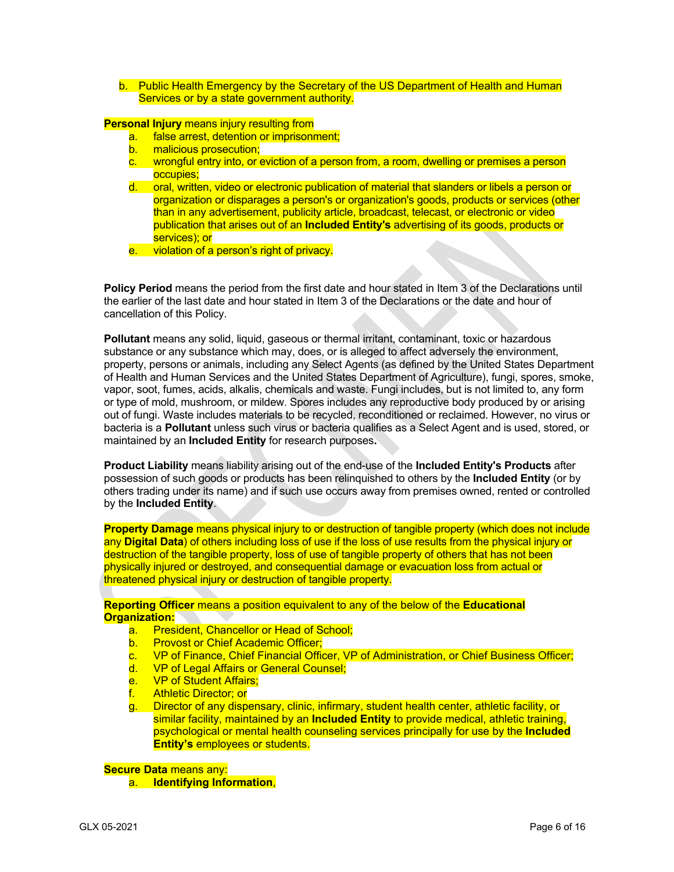b. Public Health Emergency by the Secretary of the US Department of Health and Human Services or by a state government authority.

**Personal Injury** means injury resulting from

- a. false arrest, detention or imprisonment;
- b. malicious prosecution;
- c. wrongful entry into, or eviction of a person from, a room, dwelling or premises a person occupies;
- d. oral, written, video or electronic publication of material that slanders or libels a person or organization or disparages a person's or organization's goods, products or services (other than in any advertisement, publicity article, broadcast, telecast, or electronic or video publication that arises out of an **Included Entity's** advertising of its goods, products or services); or
- e. violation of a person's right of privacy.

**Policy Period** means the period from the first date and hour stated in Item 3 of the Declarations until the earlier of the last date and hour stated in Item 3 of the Declarations or the date and hour of cancellation of this Policy.

**Pollutant** means any solid, liquid, gaseous or thermal irritant, contaminant, toxic or hazardous substance or any substance which may, does, or is alleged to affect adversely the environment, property, persons or animals, including any Select Agents (as defined by the United States Department of Health and Human Services and the United States Department of Agriculture), fungi, spores, smoke, vapor, soot, fumes, acids, alkalis, chemicals and waste. Fungi includes, but is not limited to, any form or type of mold, mushroom, or mildew. Spores includes any reproductive body produced by or arising out of fungi. Waste includes materials to be recycled, reconditioned or reclaimed. However, no virus or bacteria is a **Pollutant** unless such virus or bacteria qualifies as a Select Agent and is used, stored, or maintained by an **Included Entity** for research purposes**.**

**Product Liability** means liability arising out of the end-use of the **Included Entity's Products** after possession of such goods or products has been relinquished to others by the **Included Entity** (or by others trading under its name) and if such use occurs away from premises owned, rented or controlled by the **Included Entity**.

**Property Damage** means physical injury to or destruction of tangible property (which does not include any **Digital Data**) of others including loss of use if the loss of use results from the physical injury or destruction of the tangible property, loss of use of tangible property of others that has not been physically injured or destroyed, and consequential damage or evacuation loss from actual or threatened physical injury or destruction of tangible property.

**Reporting Officer** means a position equivalent to any of the below of the **Educational Organization:**

- a. President, Chancellor or Head of School;
- b. Provost or Chief Academic Officer:
- c. VP of Finance, Chief Financial Officer, VP of Administration, or Chief Business Officer;
- d. VP of Legal Affairs or General Counsel;
- e. VP of Student Affairs;
- f. Athletic Director; or
- g. Director of any dispensary, clinic, infirmary, student health center, athletic facility, or similar facility, maintained by an **Included Entity** to provide medical, athletic training, psychological or mental health counseling services principally for use by the **Included Entity's** employees or students.

**Secure Data** means any:

a. **Identifying Information**,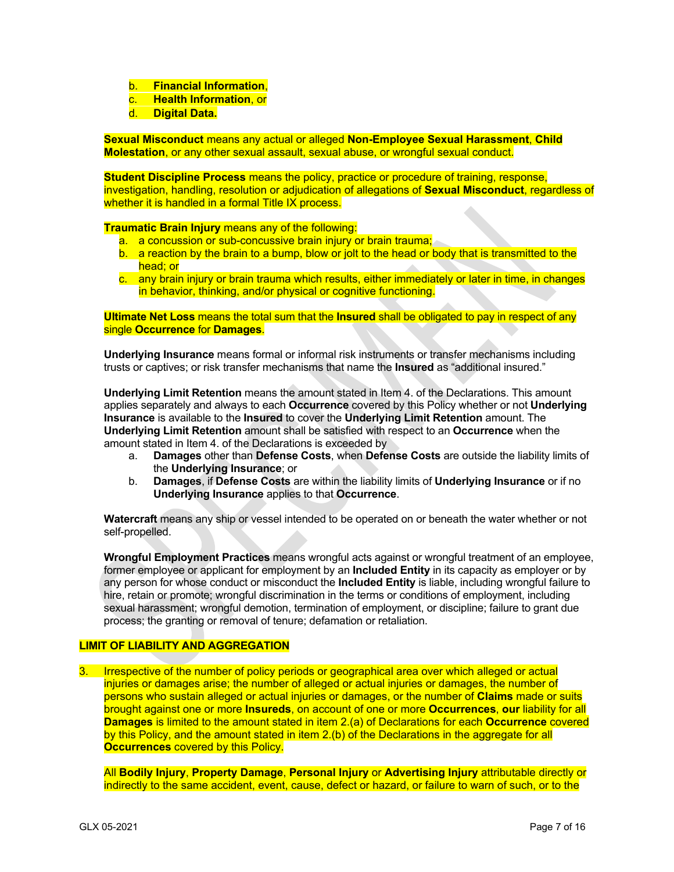- b. **Financial Information**,
- c. **Health Information**, or
- d. **Digital Data.**

**Sexual Misconduct** means any actual or alleged **Non-Employee Sexual Harassment**, **Child Molestation**, or any other sexual assault, sexual abuse, or wrongful sexual conduct.

**Student Discipline Process** means the policy, practice or procedure of training, response, investigation, handling, resolution or adjudication of allegations of **Sexual Misconduct**, regardless of whether it is handled in a formal Title IX process.

**Traumatic Brain Injury** means any of the following:

- a. a concussion or sub-concussive brain injury or brain trauma;
- b. a reaction by the brain to a bump, blow or jolt to the head or body that is transmitted to the head; or
- c. any brain injury or brain trauma which results, either immediately or later in time, in changes in behavior, thinking, and/or physical or cognitive functioning.

**Ultimate Net Loss** means the total sum that the **Insured** shall be obligated to pay in respect of any single **Occurrence** for **Damages**.

**Underlying Insurance** means formal or informal risk instruments or transfer mechanisms including trusts or captives; or risk transfer mechanisms that name the **Insured** as "additional insured."

**Underlying Limit Retention** means the amount stated in Item 4. of the Declarations. This amount applies separately and always to each **Occurrence** covered by this Policy whether or not **Underlying Insurance** is available to the **Insured** to cover the **Underlying Limit Retention** amount. The **Underlying Limit Retention** amount shall be satisfied with respect to an **Occurrence** when the amount stated in Item 4. of the Declarations is exceeded by

- a. **Damages** other than **Defense Costs**, when **Defense Costs** are outside the liability limits of the **Underlying Insurance**; or
- b. **Damages**, if **Defense Costs** are within the liability limits of **Underlying Insurance** or if no **Underlying Insurance** applies to that **Occurrence**.

**Watercraft** means any ship or vessel intended to be operated on or beneath the water whether or not self-propelled.

**Wrongful Employment Practices** means wrongful acts against or wrongful treatment of an employee, former employee or applicant for employment by an **Included Entity** in its capacity as employer or by any person for whose conduct or misconduct the **Included Entity** is liable, including wrongful failure to hire, retain or promote; wrongful discrimination in the terms or conditions of employment, including sexual harassment; wrongful demotion, termination of employment, or discipline; failure to grant due process; the granting or removal of tenure; defamation or retaliation.

### **LIMIT OF LIABILITY AND AGGREGATION**

3. Irrespective of the number of policy periods or geographical area over which alleged or actual injuries or damages arise; the number of alleged or actual injuries or damages, the number of persons who sustain alleged or actual injuries or damages, or the number of **Claims** made or suits brought against one or more **Insureds**, on account of one or more **Occurrences**, **our** liability for all **Damages** is limited to the amount stated in item 2.(a) of Declarations for each **Occurrence** covered by this Policy, and the amount stated in item 2.(b) of the Declarations in the aggregate for all **Occurrences** covered by this Policy.

All **Bodily Injury**, **Property Damage**, **Personal Injury** or **Advertising Injury** attributable directly or indirectly to the same accident, event, cause, defect or hazard, or failure to warn of such, or to the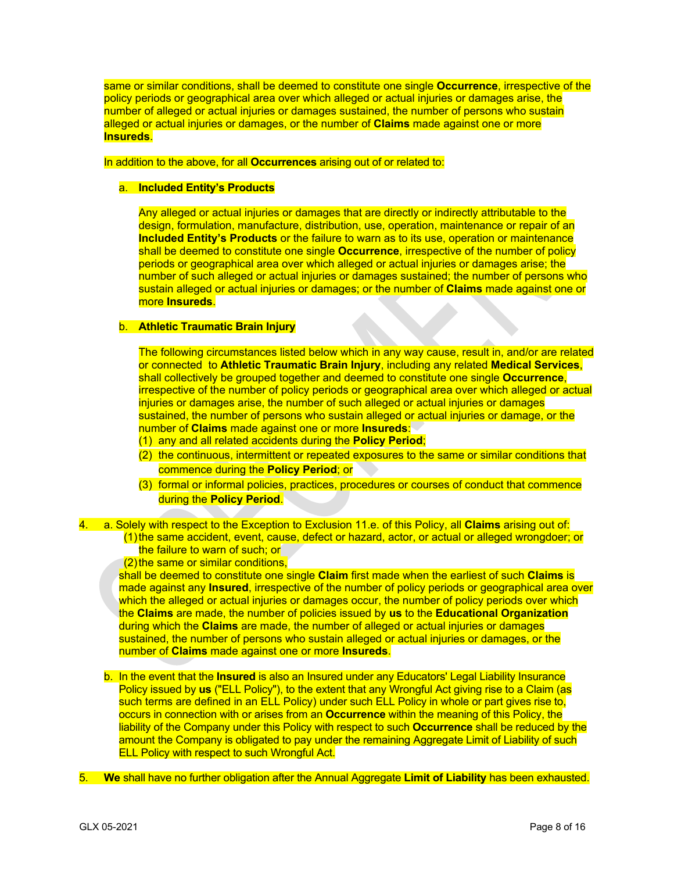same or similar conditions, shall be deemed to constitute one single **Occurrence**, irrespective of the policy periods or geographical area over which alleged or actual injuries or damages arise, the number of alleged or actual injuries or damages sustained, the number of persons who sustain alleged or actual injuries or damages, or the number of **Claims** made against one or more **Insureds**.

In addition to the above, for all **Occurrences** arising out of or related to:

# a. **Included Entity's Products**

Any alleged or actual injuries or damages that are directly or indirectly attributable to the design, formulation, manufacture, distribution, use, operation, maintenance or repair of an **Included Entity's Products** or the failure to warn as to its use, operation or maintenance shall be deemed to constitute one single **Occurrence**, irrespective of the number of policy periods or geographical area over which alleged or actual injuries or damages arise; the number of such alleged or actual injuries or damages sustained; the number of persons who sustain alleged or actual injuries or damages; or the number of **Claims** made against one or more **Insureds**.

## b. **Athletic Traumatic Brain Injury**

The following circumstances listed below which in any way cause, result in, and/or are related or connected to **Athletic Traumatic Brain Injury**, including any related **Medical Services**, shall collectively be grouped together and deemed to constitute one single **Occurrence**, irrespective of the number of policy periods or geographical area over which alleged or actual injuries or damages arise, the number of such alleged or actual injuries or damages sustained, the number of persons who sustain alleged or actual injuries or damage, or the number of **Claims** made against one or more **Insureds**:

- (1) any and all related accidents during the **Policy Period**;
- (2) the continuous, intermittent or repeated exposures to the same or similar conditions that commence during the **Policy Period**; or
- (3) formal or informal policies, practices, procedures or courses of conduct that commence during the **Policy Period**.

4. a. Solely with respect to the Exception to Exclusion 11.e. of this Policy, all **Claims** arising out of: (1)the same accident, event, cause, defect or hazard, actor, or actual or alleged wrongdoer; or

the failure to warn of such; or

(2)the same or similar conditions,

shall be deemed to constitute one single **Claim** first made when the earliest of such **Claims** is made against any **Insured**, irrespective of the number of policy periods or geographical area over which the alleged or actual injuries or damages occur, the number of policy periods over which the **Claims** are made, the number of policies issued by **us** to the **Educational Organization** during which the **Claims** are made, the number of alleged or actual injuries or damages sustained, the number of persons who sustain alleged or actual injuries or damages, or the number of **Claims** made against one or more **Insureds**.

- b. In the event that the **Insured** is also an Insured under any Educators' Legal Liability Insurance Policy issued by **us** ("ELL Policy"), to the extent that any Wrongful Act giving rise to a Claim (as such terms are defined in an ELL Policy) under such ELL Policy in whole or part gives rise to, occurs in connection with or arises from an **Occurrence** within the meaning of this Policy, the liability of the Company under this Policy with respect to such **Occurrence** shall be reduced by the amount the Company is obligated to pay under the remaining Aggregate Limit of Liability of such ELL Policy with respect to such Wrongful Act.
- 5. **We** shall have no further obligation after the Annual Aggregate **Limit of Liability** has been exhausted.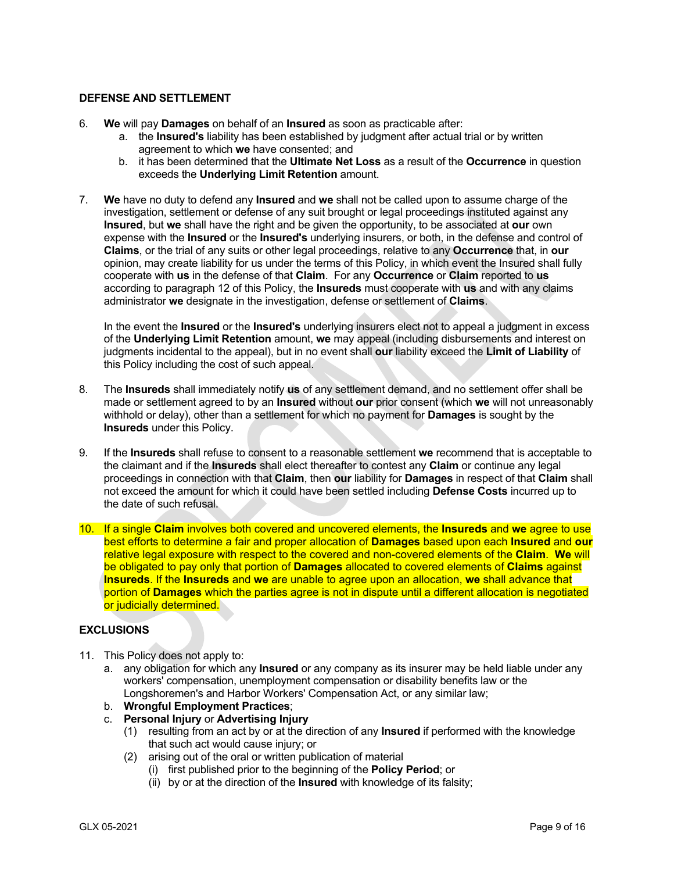### **DEFENSE AND SETTLEMENT**

- 6. **We** will pay **Damages** on behalf of an **Insured** as soon as practicable after:
	- a. the **Insured's** liability has been established by judgment after actual trial or by written agreement to which **we** have consented; and
	- b. it has been determined that the **Ultimate Net Loss** as a result of the **Occurrence** in question exceeds the **Underlying Limit Retention** amount.
- 7. **We** have no duty to defend any **Insured** and **we** shall not be called upon to assume charge of the investigation, settlement or defense of any suit brought or legal proceedings instituted against any **Insured**, but **we** shall have the right and be given the opportunity, to be associated at **our** own expense with the **Insured** or the **Insured's** underlying insurers, or both, in the defense and control of **Claims**, or the trial of any suits or other legal proceedings, relative to any **Occurrence** that, in **our** opinion, may create liability for us under the terms of this Policy, in which event the Insured shall fully cooperate with **us** in the defense of that **Claim**. For any **Occurrence** or **Claim** reported to **us** according to paragraph 12 of this Policy, the **Insureds** must cooperate with **us** and with any claims administrator **we** designate in the investigation, defense or settlement of **Claims**.

In the event the **Insured** or the **Insured's** underlying insurers elect not to appeal a judgment in excess of the **Underlying Limit Retention** amount, **we** may appeal (including disbursements and interest on judgments incidental to the appeal), but in no event shall **our** liability exceed the **Limit of Liability** of this Policy including the cost of such appeal.

- 8. The **Insureds** shall immediately notify **us** of any settlement demand, and no settlement offer shall be made or settlement agreed to by an **Insured** without **our** prior consent (which **we** will not unreasonably withhold or delay), other than a settlement for which no payment for **Damages** is sought by the **Insureds** under this Policy.
- 9. If the **Insureds** shall refuse to consent to a reasonable settlement **we** recommend that is acceptable to the claimant and if the **Insureds** shall elect thereafter to contest any **Claim** or continue any legal proceedings in connection with that **Claim**, then **our** liability for **Damages** in respect of that **Claim** shall not exceed the amount for which it could have been settled including **Defense Costs** incurred up to the date of such refusal.
- 10. If a single **Claim** involves both covered and uncovered elements, the **Insureds** and **we** agree to use best efforts to determine a fair and proper allocation of **Damages** based upon each **Insured** and **our**  relative legal exposure with respect to the covered and non-covered elements of the **Claim**. **We** will be obligated to pay only that portion of **Damages** allocated to covered elements of **Claims** against **Insureds**. If the **Insureds** and **we** are unable to agree upon an allocation, **we** shall advance that portion of **Damages** which the parties agree is not in dispute until a different allocation is negotiated or judicially determined.

### **EXCLUSIONS**

- 11. This Policy does not apply to:
	- a. any obligation for which any **Insured** or any company as its insurer may be held liable under any workers' compensation, unemployment compensation or disability benefits law or the Longshoremen's and Harbor Workers' Compensation Act, or any similar law;
	- b. **Wrongful Employment Practices**;
	- c. **Personal Injury** or **Advertising Injury**
		- (1) resulting from an act by or at the direction of any **Insured** if performed with the knowledge that such act would cause injury; or
		- (2) arising out of the oral or written publication of material
			- (i) first published prior to the beginning of the **Policy Period**; or
			- (ii) by or at the direction of the **Insured** with knowledge of its falsity;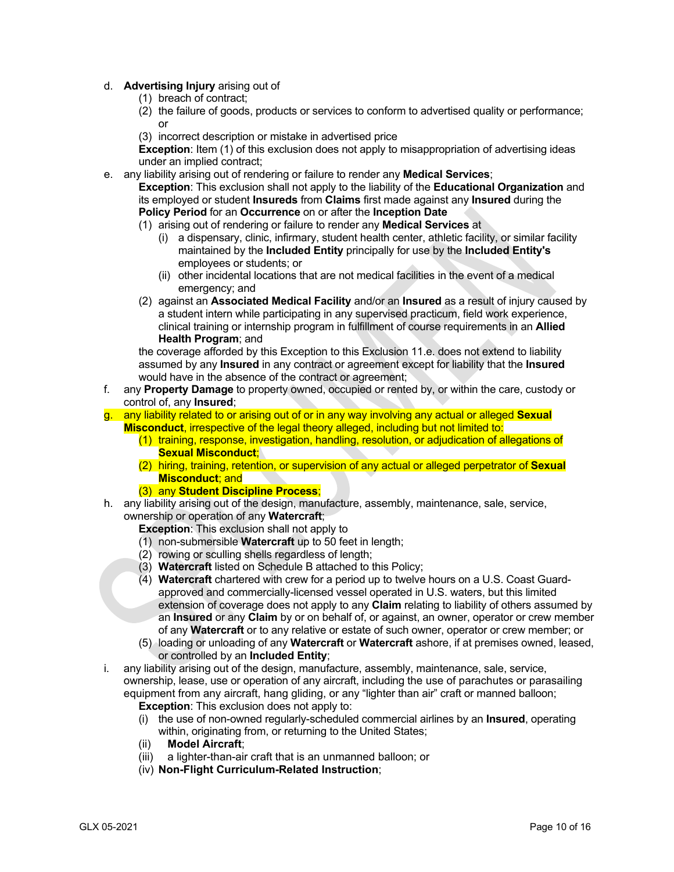## d. **Advertising Injury** arising out of

- (1) breach of contract;
- (2) the failure of goods, products or services to conform to advertised quality or performance; or
- (3) incorrect description or mistake in advertised price

**Exception**: Item (1) of this exclusion does not apply to misappropriation of advertising ideas under an implied contract;

- e. any liability arising out of rendering or failure to render any **Medical Services**; **Exception**: This exclusion shall not apply to the liability of the **Educational Organization** and its employed or student **Insureds** from **Claims** first made against any **Insured** during the **Policy Period** for an **Occurrence** on or after the **Inception Date**
	- (1) arising out of rendering or failure to render any **Medical Services** at
		- (i) a dispensary, clinic, infirmary, student health center, athletic facility, or similar facility maintained by the **Included Entity** principally for use by the **Included Entity's** employees or students; or
		- (ii) other incidental locations that are not medical facilities in the event of a medical emergency; and
	- (2) against an **Associated Medical Facility** and/or an **Insured** as a result of injury caused by a student intern while participating in any supervised practicum, field work experience, clinical training or internship program in fulfillment of course requirements in an **Allied Health Program**; and

the coverage afforded by this Exception to this Exclusion 11.e. does not extend to liability assumed by any **Insured** in any contract or agreement except for liability that the **Insured** would have in the absence of the contract or agreement;

- f. any **Property Damage** to property owned, occupied or rented by, or within the care, custody or control of, any **Insured**;
- g. any liability related to or arising out of or in any way involving any actual or alleged **Sexual Misconduct**, irrespective of the legal theory alleged, including but not limited to:
	- (1) training, response, investigation, handling, resolution, or adjudication of allegations of **Sexual Misconduct**;
	- (2) hiring, training, retention, or supervision of any actual or alleged perpetrator of **Sexual Misconduct**; and
	- (3) any **Student Discipline Process**;
- h. any liability arising out of the design, manufacture, assembly, maintenance, sale, service, ownership or operation of any **Watercraft**;

**Exception**: This exclusion shall not apply to

- (1) non-submersible **Watercraft** up to 50 feet in length;
- (2) rowing or sculling shells regardless of length;
- (3) **Watercraft** listed on Schedule B attached to this Policy;
- (4) **Watercraft** chartered with crew for a period up to twelve hours on a U.S. Coast Guardapproved and commercially-licensed vessel operated in U.S. waters, but this limited extension of coverage does not apply to any **Claim** relating to liability of others assumed by an **Insured** or any **Claim** by or on behalf of, or against, an owner, operator or crew member of any **Watercraft** or to any relative or estate of such owner, operator or crew member; or
- (5) loading or unloading of any **Watercraft** or **Watercraft** ashore, if at premises owned, leased, or controlled by an **Included Entity**;
- i. any liability arising out of the design, manufacture, assembly, maintenance, sale, service, ownership, lease, use or operation of any aircraft, including the use of parachutes or parasailing equipment from any aircraft, hang gliding, or any "lighter than air" craft or manned balloon;
	- **Exception:** This exclusion does not apply to:
	- (i) the use of non-owned regularly-scheduled commercial airlines by an **Insured**, operating within, originating from, or returning to the United States;
	- (ii) **Model Aircraft**;
	- a lighter-than-air craft that is an unmanned balloon; or
	- (iv) **Non-Flight Curriculum-Related Instruction**;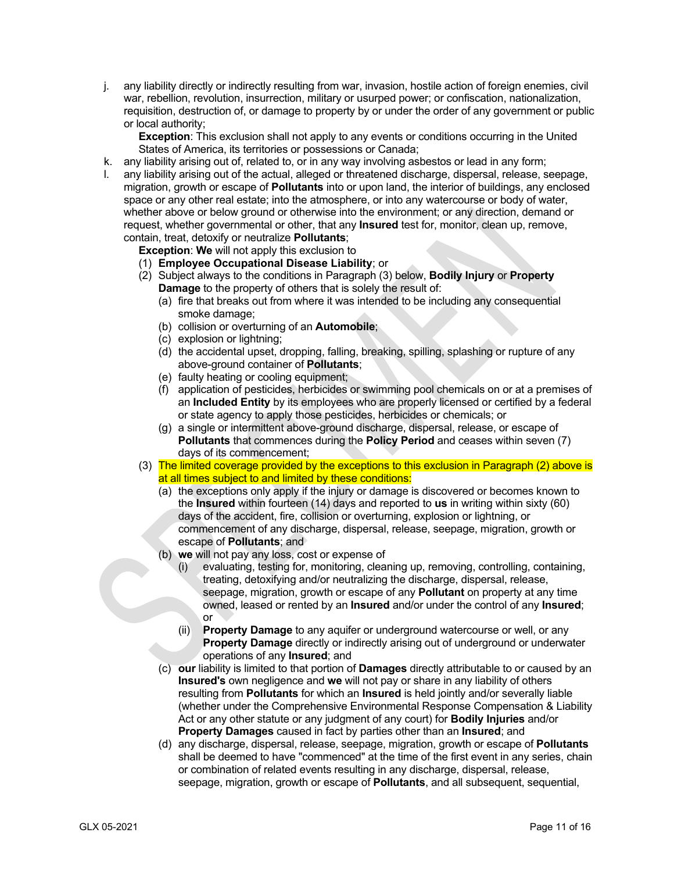j. any liability directly or indirectly resulting from war, invasion, hostile action of foreign enemies, civil war, rebellion, revolution, insurrection, military or usurped power; or confiscation, nationalization, requisition, destruction of, or damage to property by or under the order of any government or public or local authority;

**Exception**: This exclusion shall not apply to any events or conditions occurring in the United States of America, its territories or possessions or Canada;

- k. any liability arising out of, related to, or in any way involving asbestos or lead in any form;
- l. any liability arising out of the actual, alleged or threatened discharge, dispersal, release, seepage, migration, growth or escape of **Pollutants** into or upon land, the interior of buildings, any enclosed space or any other real estate; into the atmosphere, or into any watercourse or body of water, whether above or below ground or otherwise into the environment; or any direction, demand or request, whether governmental or other, that any **Insured** test for, monitor, clean up, remove, contain, treat, detoxify or neutralize **Pollutants**;

**Exception: We** will not apply this exclusion to

- (1) **Employee Occupational Disease Liability**; or
- (2) Subject always to the conditions in Paragraph (3) below, **Bodily Injury** or **Property Damage** to the property of others that is solely the result of:
	- (a) fire that breaks out from where it was intended to be including any consequential smoke damage;
	- (b) collision or overturning of an **Automobile**;
	- (c) explosion or lightning;
	- (d) the accidental upset, dropping, falling, breaking, spilling, splashing or rupture of any above-ground container of **Pollutants**;
	- (e) faulty heating or cooling equipment;
	- (f) application of pesticides, herbicides or swimming pool chemicals on or at a premises of an **Included Entity** by its employees who are properly licensed or certified by a federal or state agency to apply those pesticides, herbicides or chemicals; or
	- (g) a single or intermittent above-ground discharge, dispersal, release, or escape of **Pollutants** that commences during the **Policy Period** and ceases within seven (7) days of its commencement;
- (3) The limited coverage provided by the exceptions to this exclusion in Paragraph (2) above is at all times subject to and limited by these conditions:
	- (a) the exceptions only apply if the injury or damage is discovered or becomes known to the **Insured** within fourteen (14) days and reported to **us** in writing within sixty (60) days of the accident, fire, collision or overturning, explosion or lightning, or commencement of any discharge, dispersal, release, seepage, migration, growth or escape of **Pollutants**; and
	- (b) **we** will not pay any loss, cost or expense of
		- (i) evaluating, testing for, monitoring, cleaning up, removing, controlling, containing, treating, detoxifying and/or neutralizing the discharge, dispersal, release, seepage, migration, growth or escape of any **Pollutant** on property at any time owned, leased or rented by an **Insured** and/or under the control of any **Insured**; or
		- (ii) **Property Damage** to any aquifer or underground watercourse or well, or any **Property Damage** directly or indirectly arising out of underground or underwater operations of any **Insured**; and
	- (c) **our** liability is limited to that portion of **Damages** directly attributable to or caused by an **Insured's** own negligence and **we** will not pay or share in any liability of others resulting from **Pollutants** for which an **Insured** is held jointly and/or severally liable (whether under the Comprehensive Environmental Response Compensation & Liability Act or any other statute or any judgment of any court) for **Bodily Injuries** and/or **Property Damages** caused in fact by parties other than an **Insured**; and
	- (d) any discharge, dispersal, release, seepage, migration, growth or escape of **Pollutants** shall be deemed to have "commenced" at the time of the first event in any series, chain or combination of related events resulting in any discharge, dispersal, release, seepage, migration, growth or escape of **Pollutants**, and all subsequent, sequential,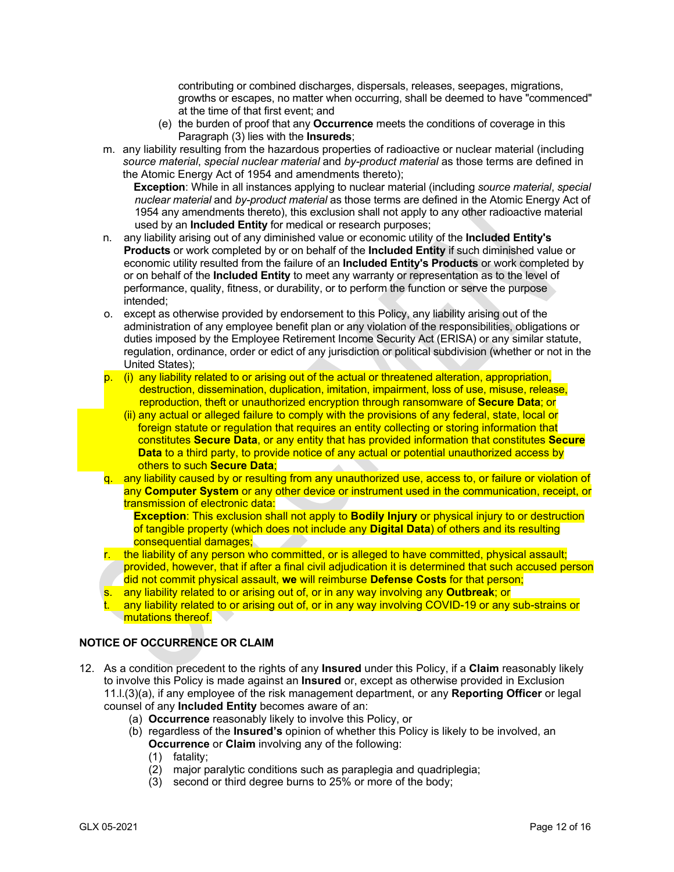contributing or combined discharges, dispersals, releases, seepages, migrations, growths or escapes, no matter when occurring, shall be deemed to have "commenced" at the time of that first event; and

- (e) the burden of proof that any **Occurrence** meets the conditions of coverage in this Paragraph (3) lies with the **Insureds**;
- m. any liability resulting from the hazardous properties of radioactive or nuclear material (including *source material*, *special nuclear material* and *by-product material* as those terms are defined in the Atomic Energy Act of 1954 and amendments thereto);

**Exception**: While in all instances applying to nuclear material (including *source material*, *special nuclear material* and *by-product material* as those terms are defined in the Atomic Energy Act of 1954 any amendments thereto), this exclusion shall not apply to any other radioactive material used by an **Included Entity** for medical or research purposes;

- n. any liability arising out of any diminished value or economic utility of the **Included Entity's Products** or work completed by or on behalf of the **Included Entity** if such diminished value or economic utility resulted from the failure of an **Included Entity's Products** or work completed by or on behalf of the **Included Entity** to meet any warranty or representation as to the level of performance, quality, fitness, or durability, or to perform the function or serve the purpose intended;
- o. except as otherwise provided by endorsement to this Policy, any liability arising out of the administration of any employee benefit plan or any violation of the responsibilities, obligations or duties imposed by the Employee Retirement Income Security Act (ERISA) or any similar statute, regulation, ordinance, order or edict of any jurisdiction or political subdivision (whether or not in the United States);
- p. (i) any liability related to or arising out of the actual or threatened alteration, appropriation, destruction, dissemination, duplication, imitation, impairment, loss of use, misuse, release, reproduction, theft or unauthorized encryption through ransomware of **Secure Data**; or
	- (ii) any actual or alleged failure to comply with the provisions of any federal, state, local or foreign statute or regulation that requires an entity collecting or storing information that constitutes **Secure Data**, or any entity that has provided information that constitutes **Secure Data** to a third party, to provide notice of any actual or potential unauthorized access by others to such **Secure Data**;
- q. any liability caused by or resulting from any unauthorized use, access to, or failure or violation of any **Computer System** or any other device or instrument used in the communication, receipt, or transmission of electronic data:

**Exception**: This exclusion shall not apply to **Bodily Injury** or physical injury to or destruction of tangible property (which does not include any **Digital Data**) of others and its resulting consequential damages;

- r. the liability of any person who committed, or is alleged to have committed, physical assault; provided, however, that if after a final civil adjudication it is determined that such accused person did not commit physical assault, **we** will reimburse **Defense Costs** for that person;
- s. any liability related to or arising out of, or in any way involving any **Outbreak**; or
- any liability related to or arising out of, or in any way involving COVID-19 or any sub-strains or mutations thereof.

# **NOTICE OF OCCURRENCE OR CLAIM**

- 12. As a condition precedent to the rights of any **Insured** under this Policy, if a **Claim** reasonably likely to involve this Policy is made against an **Insured** or, except as otherwise provided in Exclusion 11.l.(3)(a), if any employee of the risk management department, or any **Reporting Officer** or legal counsel of any **Included Entity** becomes aware of an:
	- (a) **Occurrence** reasonably likely to involve this Policy, or
	- (b) regardless of the **Insured's** opinion of whether this Policy is likely to be involved, an **Occurrence** or **Claim** involving any of the following:
		- (1) fatality;
		- (2) major paralytic conditions such as paraplegia and quadriplegia;
		- (3) second or third degree burns to 25% or more of the body;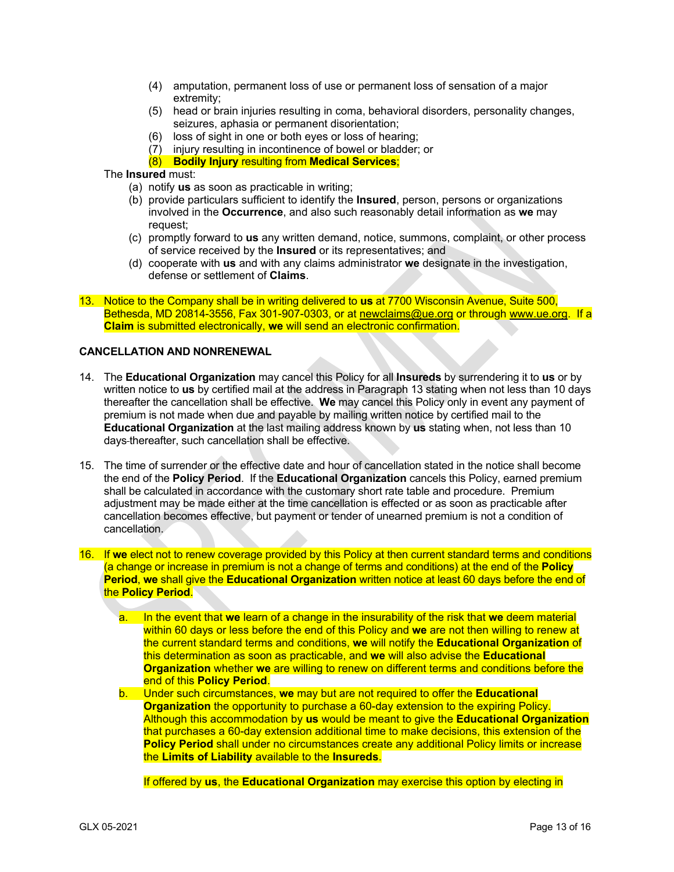- (4) amputation, permanent loss of use or permanent loss of sensation of a major extremity;
- (5) head or brain injuries resulting in coma, behavioral disorders, personality changes, seizures, aphasia or permanent disorientation;
- (6) loss of sight in one or both eyes or loss of hearing;
- (7) injury resulting in incontinence of bowel or bladder; or
- (8) **Bodily Injury** resulting from **Medical Services**;

## The **Insured** must:

- (a) notify **us** as soon as practicable in writing;
- (b) provide particulars sufficient to identify the **Insured**, person, persons or organizations involved in the **Occurrence**, and also such reasonably detail information as **we** may request;
- (c) promptly forward to **us** any written demand, notice, summons, complaint, or other process of service received by the **Insured** or its representatives; and
- (d) cooperate with **us** and with any claims administrator **we** designate in the investigation, defense or settlement of **Claims**.
- 13. Notice to the Company shall be in writing delivered to **us** at 7700 Wisconsin Avenue, Suite 500, Bethesda, MD 20814-3556, Fax 301-907-0303, or a[t newclaims@ue.org](mailto:claims@ue.org) or through www.ue.org. If a **Claim** is submitted electronically, **we** will send an electronic confirmation.

# **CANCELLATION AND NONRENEWAL**

- 14. The **Educational Organization** may cancel this Policy for all **Insureds** by surrendering it to **us** or by written notice to **us** by certified mail at the address in Paragraph 13 stating when not less than 10 days thereafter the cancellation shall be effective. **We** may cancel this Policy only in event any payment of premium is not made when due and payable by mailing written notice by certified mail to the **Educational Organization** at the last mailing address known by **us** stating when, not less than 10 days thereafter, such cancellation shall be effective.
- 15. The time of surrender or the effective date and hour of cancellation stated in the notice shall become the end of the **Policy Period**. If the **Educational Organization** cancels this Policy, earned premium shall be calculated in accordance with the customary short rate table and procedure. Premium adjustment may be made either at the time cancellation is effected or as soon as practicable after cancellation becomes effective, but payment or tender of unearned premium is not a condition of cancellation.
- 16. If **we** elect not to renew coverage provided by this Policy at then current standard terms and conditions (a change or increase in premium is not a change of terms and conditions) at the end of the **Policy Period**, **we** shall give the **Educational Organization** written notice at least 60 days before the end of the **Policy Period**.
	- a. In the event that **we** learn of a change in the insurability of the risk that **we** deem material within 60 days or less before the end of this Policy and **we** are not then willing to renew at the current standard terms and conditions, **we** will notify the **Educational Organization** of this determination as soon as practicable, and **we** will also advise the **Educational Organization** whether **we** are willing to renew on different terms and conditions before the end of this **Policy Period**.
	- b. Under such circumstances, **we** may but are not required to offer the **Educational Organization** the opportunity to purchase a 60-day extension to the expiring Policy. Although this accommodation by **us** would be meant to give the **Educational Organization** that purchases a 60-day extension additional time to make decisions, this extension of the **Policy Period** shall under no circumstances create any additional Policy limits or increase the **Limits of Liability** available to the **Insureds**.

If offered by **us**, the **Educational Organization** may exercise this option by electing in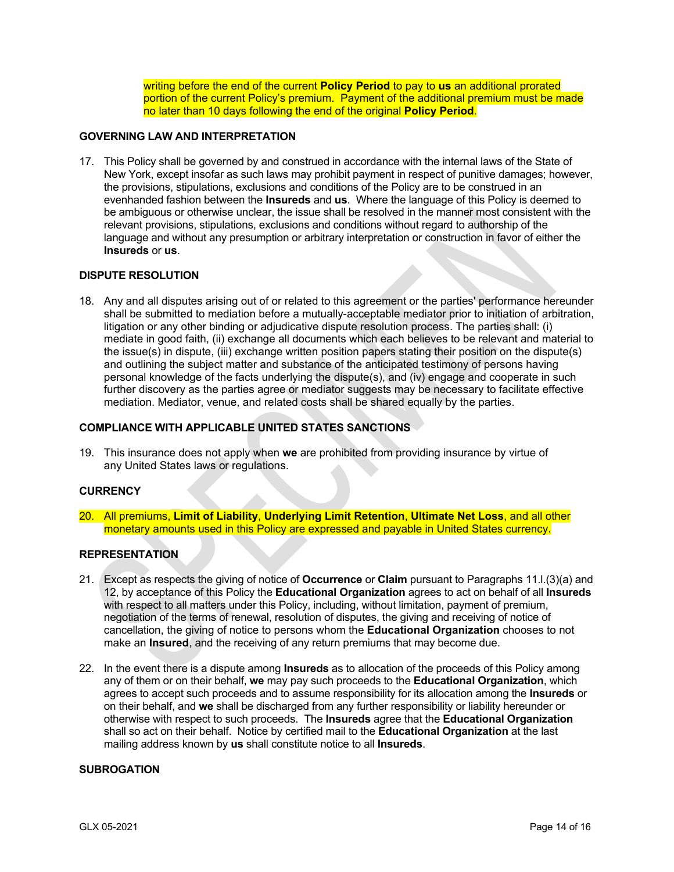writing before the end of the current **Policy Period** to pay to **us** an additional prorated portion of the current Policy's premium. Payment of the additional premium must be made no later than 10 days following the end of the original **Policy Period**.

### **GOVERNING LAW AND INTERPRETATION**

17. This Policy shall be governed by and construed in accordance with the internal laws of the State of New York, except insofar as such laws may prohibit payment in respect of punitive damages; however, the provisions, stipulations, exclusions and conditions of the Policy are to be construed in an evenhanded fashion between the **Insureds** and **us**. Where the language of this Policy is deemed to be ambiguous or otherwise unclear, the issue shall be resolved in the manner most consistent with the relevant provisions, stipulations, exclusions and conditions without regard to authorship of the language and without any presumption or arbitrary interpretation or construction in favor of either the **Insureds** or **us**.

#### **DISPUTE RESOLUTION**

18. Any and all disputes arising out of or related to this agreement or the parties' performance hereunder shall be submitted to mediation before a mutually-acceptable mediator prior to initiation of arbitration, litigation or any other binding or adjudicative dispute resolution process. The parties shall: (i) mediate in good faith, (ii) exchange all documents which each believes to be relevant and material to the issue(s) in dispute, (iii) exchange written position papers stating their position on the dispute(s) and outlining the subject matter and substance of the anticipated testimony of persons having personal knowledge of the facts underlying the dispute(s), and (iv) engage and cooperate in such further discovery as the parties agree or mediator suggests may be necessary to facilitate effective mediation. Mediator, venue, and related costs shall be shared equally by the parties.

## **COMPLIANCE WITH APPLICABLE UNITED STATES SANCTIONS**

19. This insurance does not apply when **we** are prohibited from providing insurance by virtue of any United States laws or regulations.

### **CURRENCY**

20. All premiums, **Limit of Liability**, **Underlying Limit Retention**, **Ultimate Net Loss**, and all other monetary amounts used in this Policy are expressed and payable in United States currency.

### **REPRESENTATION**

- 21. Except as respects the giving of notice of **Occurrence** or **Claim** pursuant to Paragraphs 11.l.(3)(a) and 12, by acceptance of this Policy the **Educational Organization** agrees to act on behalf of all **Insureds** with respect to all matters under this Policy, including, without limitation, payment of premium, negotiation of the terms of renewal, resolution of disputes, the giving and receiving of notice of cancellation, the giving of notice to persons whom the **Educational Organization** chooses to not make an **Insured**, and the receiving of any return premiums that may become due.
- 22. In the event there is a dispute among **Insureds** as to allocation of the proceeds of this Policy among any of them or on their behalf, **we** may pay such proceeds to the **Educational Organization**, which agrees to accept such proceeds and to assume responsibility for its allocation among the **Insureds** or on their behalf, and **we** shall be discharged from any further responsibility or liability hereunder or otherwise with respect to such proceeds. The **Insureds** agree that the **Educational Organization** shall so act on their behalf. Notice by certified mail to the **Educational Organization** at the last mailing address known by **us** shall constitute notice to all **Insureds**.

### **SUBROGATION**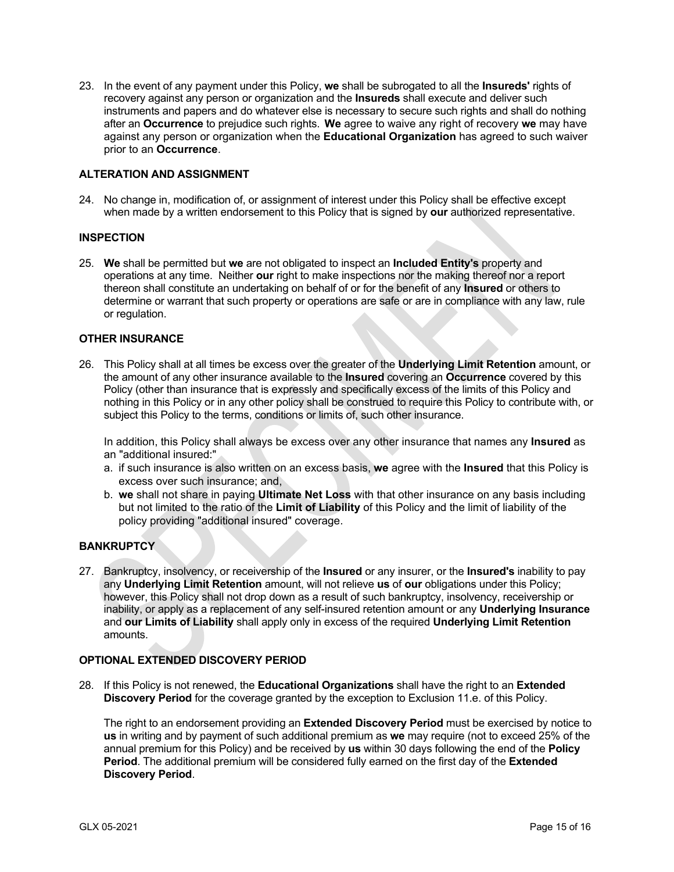23. In the event of any payment under this Policy, **we** shall be subrogated to all the **Insureds'** rights of recovery against any person or organization and the **Insureds** shall execute and deliver such instruments and papers and do whatever else is necessary to secure such rights and shall do nothing after an **Occurrence** to prejudice such rights. **We** agree to waive any right of recovery **we** may have against any person or organization when the **Educational Organization** has agreed to such waiver prior to an **Occurrence**.

## **ALTERATION AND ASSIGNMENT**

24. No change in, modification of, or assignment of interest under this Policy shall be effective except when made by a written endorsement to this Policy that is signed by **our** authorized representative.

### **INSPECTION**

25. **We** shall be permitted but **we** are not obligated to inspect an **Included Entity's** property and operations at any time. Neither **our** right to make inspections nor the making thereof nor a report thereon shall constitute an undertaking on behalf of or for the benefit of any **Insured** or others to determine or warrant that such property or operations are safe or are in compliance with any law, rule or regulation.

## **OTHER INSURANCE**

26. This Policy shall at all times be excess over the greater of the **Underlying Limit Retention** amount, or the amount of any other insurance available to the **Insured** covering an **Occurrence** covered by this Policy (other than insurance that is expressly and specifically excess of the limits of this Policy and nothing in this Policy or in any other policy shall be construed to require this Policy to contribute with, or subject this Policy to the terms, conditions or limits of, such other insurance.

In addition, this Policy shall always be excess over any other insurance that names any **Insured** as an "additional insured:"

- a. if such insurance is also written on an excess basis, **we** agree with the **Insured** that this Policy is excess over such insurance; and,
- b. **we** shall not share in paying **Ultimate Net Loss** with that other insurance on any basis including but not limited to the ratio of the **Limit of Liability** of this Policy and the limit of liability of the policy providing "additional insured" coverage.

## **BANKRUPTCY**

27. Bankruptcy, insolvency, or receivership of the **Insured** or any insurer, or the **Insured's** inability to pay any **Underlying Limit Retention** amount, will not relieve **us** of **our** obligations under this Policy; however, this Policy shall not drop down as a result of such bankruptcy, insolvency, receivership or inability, or apply as a replacement of any self-insured retention amount or any **Underlying Insurance** and **our Limits of Liability** shall apply only in excess of the required **Underlying Limit Retention** amounts.

### **OPTIONAL EXTENDED DISCOVERY PERIOD**

28. If this Policy is not renewed, the **Educational Organizations** shall have the right to an **Extended Discovery Period** for the coverage granted by the exception to Exclusion 11.e. of this Policy.

The right to an endorsement providing an **Extended Discovery Period** must be exercised by notice to **us** in writing and by payment of such additional premium as **we** may require (not to exceed 25% of the annual premium for this Policy) and be received by **us** within 30 days following the end of the **Policy Period**. The additional premium will be considered fully earned on the first day of the **Extended Discovery Period**.